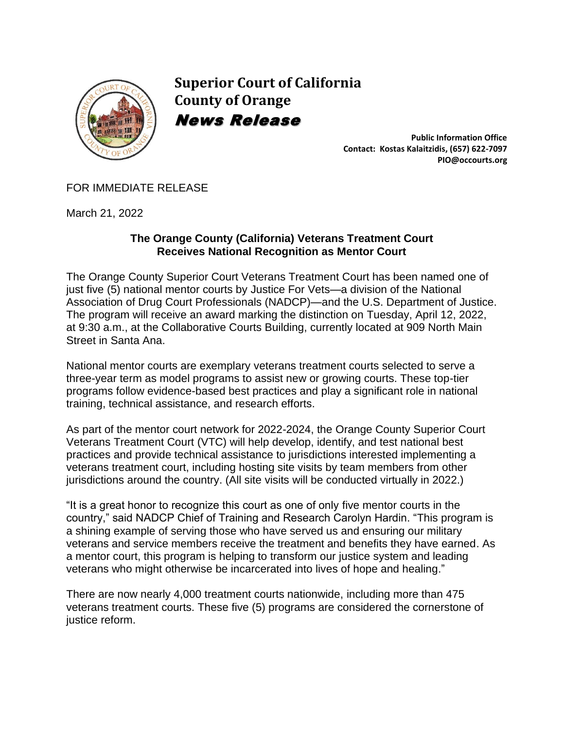

**Superior Court of California County of Orange** News Release

> **Public Information Office Contact: Kostas Kalaitzidis, (657) 622-7097 PIO@occourts.org**

## FOR IMMEDIATE RELEASE

March 21, 2022

## **The Orange County (California) Veterans Treatment Court Receives National Recognition as Mentor Court**

The Orange County Superior Court Veterans Treatment Court has been named one of just five (5) national mentor courts by Justice For Vets—a division of the National Association of Drug Court Professionals (NADCP)—and the U.S. Department of Justice. The program will receive an award marking the distinction on Tuesday, April 12, 2022, at 9:30 a.m., at the Collaborative Courts Building, currently located at 909 North Main Street in Santa Ana.

National mentor courts are exemplary veterans treatment courts selected to serve a three-year term as model programs to assist new or growing courts. These top-tier programs follow evidence-based best practices and play a significant role in national training, technical assistance, and research efforts.

As part of the mentor court network for 2022-2024, the Orange County Superior Court Veterans Treatment Court (VTC) will help develop, identify, and test national best practices and provide technical assistance to jurisdictions interested implementing a veterans treatment court, including hosting site visits by team members from other jurisdictions around the country. (All site visits will be conducted virtually in 2022.)

"It is a great honor to recognize this court as one of only five mentor courts in the country," said NADCP Chief of Training and Research Carolyn Hardin. "This program is a shining example of serving those who have served us and ensuring our military veterans and service members receive the treatment and benefits they have earned. As a mentor court, this program is helping to transform our justice system and leading veterans who might otherwise be incarcerated into lives of hope and healing."

There are now nearly 4,000 treatment courts nationwide, including more than 475 veterans treatment courts. These five (5) programs are considered the cornerstone of justice reform.